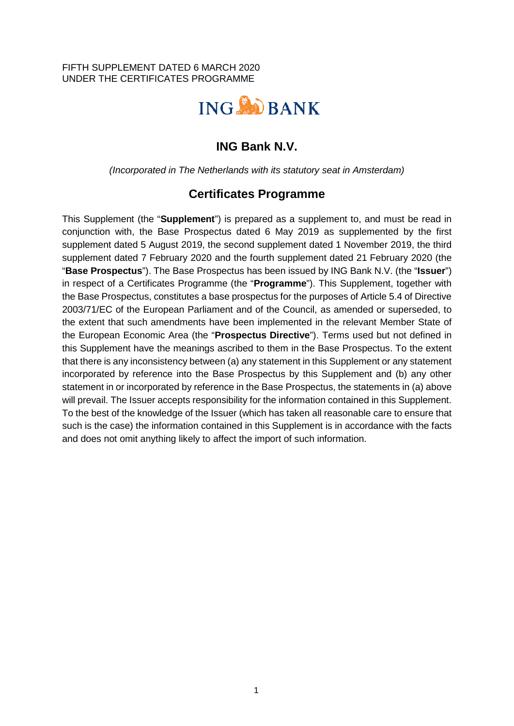FIFTH SUPPLEMENT DATED 6 MARCH 2020 UNDER THE CERTIFICATES PROGRAMME



# **ING Bank N.V.**

*(Incorporated in The Netherlands with its statutory seat in Amsterdam)* 

## **Certificates Programme**

This Supplement (the "**Supplement**") is prepared as a supplement to, and must be read in conjunction with, the Base Prospectus dated 6 May 2019 as supplemented by the first supplement dated 5 August 2019, the second supplement dated 1 November 2019, the third supplement dated 7 February 2020 and the fourth supplement dated 21 February 2020 (the "**Base Prospectus**"). The Base Prospectus has been issued by ING Bank N.V. (the "**Issuer**") in respect of a Certificates Programme (the "**Programme**"). This Supplement, together with the Base Prospectus, constitutes a base prospectus for the purposes of Article 5.4 of Directive 2003/71/EC of the European Parliament and of the Council, as amended or superseded, to the extent that such amendments have been implemented in the relevant Member State of the European Economic Area (the "**Prospectus Directive**"). Terms used but not defined in this Supplement have the meanings ascribed to them in the Base Prospectus. To the extent that there is any inconsistency between (a) any statement in this Supplement or any statement incorporated by reference into the Base Prospectus by this Supplement and (b) any other statement in or incorporated by reference in the Base Prospectus, the statements in (a) above will prevail. The Issuer accepts responsibility for the information contained in this Supplement. To the best of the knowledge of the Issuer (which has taken all reasonable care to ensure that such is the case) the information contained in this Supplement is in accordance with the facts and does not omit anything likely to affect the import of such information.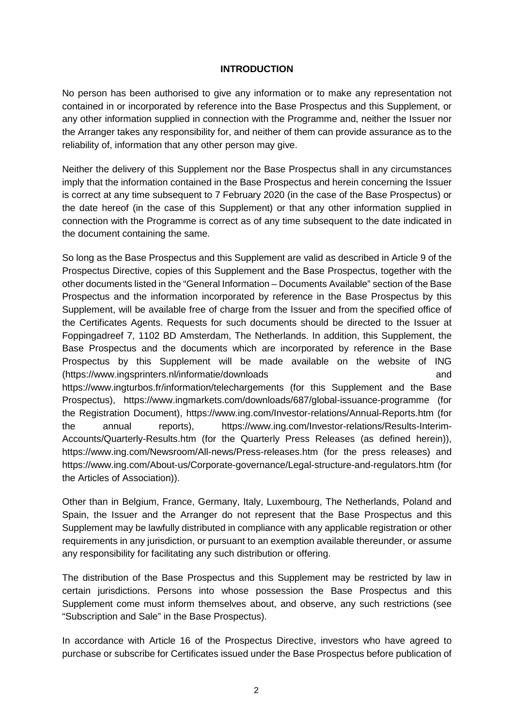#### **INTRODUCTION**

No person has been authorised to give any information or to make any representation not contained in or incorporated by reference into the Base Prospectus and this Supplement, or any other information supplied in connection with the Programme and, neither the Issuer nor the Arranger takes any responsibility for, and neither of them can provide assurance as to the reliability of, information that any other person may give.

Neither the delivery of this Supplement nor the Base Prospectus shall in any circumstances imply that the information contained in the Base Prospectus and herein concerning the Issuer is correct at any time subsequent to 7 February 2020 (in the case of the Base Prospectus) or the date hereof (in the case of this Supplement) or that any other information supplied in connection with the Programme is correct as of any time subsequent to the date indicated in the document containing the same.

So long as the Base Prospectus and this Supplement are valid as described in Article 9 of the Prospectus Directive, copies of this Supplement and the Base Prospectus, together with the other documents listed in the "General Information – Documents Available" section of the Base Prospectus and the information incorporated by reference in the Base Prospectus by this Supplement, will be available free of charge from the Issuer and from the specified office of the Certificates Agents. Requests for such documents should be directed to the Issuer at Foppingadreef 7, 1102 BD Amsterdam, The Netherlands. In addition, this Supplement, the Base Prospectus and the documents which are incorporated by reference in the Base Prospectus by this Supplement will be made available on the website of ING (https://www.ingsprinters.nl/informatie/downloads and https://www.ingturbos.fr/information/telechargements (for this Supplement and the Base Prospectus), https://www.ingmarkets.com/downloads/687/global-issuance-programme (for the Registration Document), https://www.ing.com/Investor-relations/Annual-Reports.htm (for the annual reports), https://www.ing.com/Investor-relations/Results-Interim-Accounts/Quarterly-Results.htm (for the Quarterly Press Releases (as defined herein)), https://www.ing.com/Newsroom/All-news/Press-releases.htm (for the press releases) and https://www.ing.com/About-us/Corporate-governance/Legal-structure-and-regulators.htm (for the Articles of Association)).

Other than in Belgium, France, Germany, Italy, Luxembourg, The Netherlands, Poland and Spain, the Issuer and the Arranger do not represent that the Base Prospectus and this Supplement may be lawfully distributed in compliance with any applicable registration or other requirements in any jurisdiction, or pursuant to an exemption available thereunder, or assume any responsibility for facilitating any such distribution or offering.

The distribution of the Base Prospectus and this Supplement may be restricted by law in certain jurisdictions. Persons into whose possession the Base Prospectus and this Supplement come must inform themselves about, and observe, any such restrictions (see "Subscription and Sale" in the Base Prospectus).

In accordance with Article 16 of the Prospectus Directive, investors who have agreed to purchase or subscribe for Certificates issued under the Base Prospectus before publication of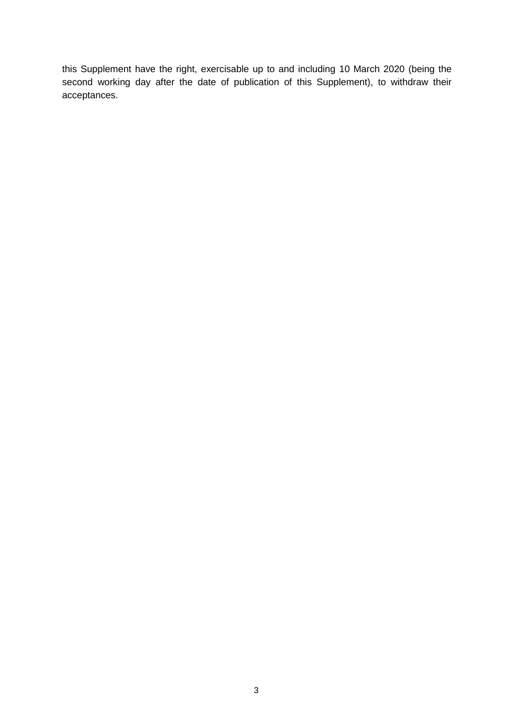this Supplement have the right, exercisable up to and including 10 March 2020 (being the second working day after the date of publication of this Supplement), to withdraw their acceptances.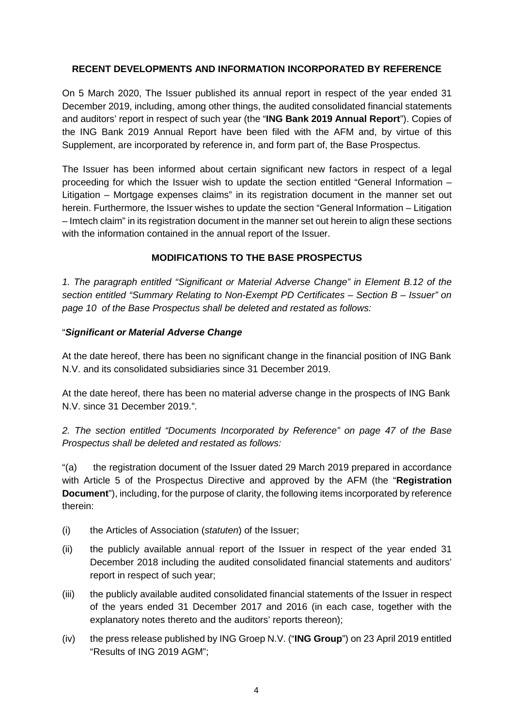### **RECENT DEVELOPMENTS AND INFORMATION INCORPORATED BY REFERENCE**

On 5 March 2020, The Issuer published its annual report in respect of the year ended 31 December 2019, including, among other things, the audited consolidated financial statements and auditors' report in respect of such year (the "**ING Bank 2019 Annual Report**"). Copies of the ING Bank 2019 Annual Report have been filed with the AFM and, by virtue of this Supplement, are incorporated by reference in, and form part of, the Base Prospectus.

The Issuer has been informed about certain significant new factors in respect of a legal proceeding for which the Issuer wish to update the section entitled "General Information – Litigation – Mortgage expenses claims" in its registration document in the manner set out herein. Furthermore, the Issuer wishes to update the section "General Information – Litigation – Imtech claim" in its registration document in the manner set out herein to align these sections with the information contained in the annual report of the Issuer.

## **MODIFICATIONS TO THE BASE PROSPECTUS**

*1. The paragraph entitled "Significant or Material Adverse Change" in Element B.12 of the section entitled "Summary Relating to Non-Exempt PD Certificates – Section B – Issuer" on page 10 of the Base Prospectus shall be deleted and restated as follows:* 

### "*Significant or Material Adverse Change*

At the date hereof, there has been no significant change in the financial position of ING Bank N.V. and its consolidated subsidiaries since 31 December 2019.

At the date hereof, there has been no material adverse change in the prospects of ING Bank N.V. since 31 December 2019.".

*2. The section entitled "Documents Incorporated by Reference" on page 47 of the Base Prospectus shall be deleted and restated as follows:* 

"(a) the registration document of the Issuer dated 29 March 2019 prepared in accordance with Article 5 of the Prospectus Directive and approved by the AFM (the "**Registration Document**"), including, for the purpose of clarity, the following items incorporated by reference therein:

- (i) the Articles of Association (*statuten*) of the Issuer;
- (ii) the publicly available annual report of the Issuer in respect of the year ended 31 December 2018 including the audited consolidated financial statements and auditors' report in respect of such year;
- (iii) the publicly available audited consolidated financial statements of the Issuer in respect of the years ended 31 December 2017 and 2016 (in each case, together with the explanatory notes thereto and the auditors' reports thereon);
- (iv) the press release published by ING Groep N.V. ("**ING Group**") on 23 April 2019 entitled "Results of ING 2019 AGM";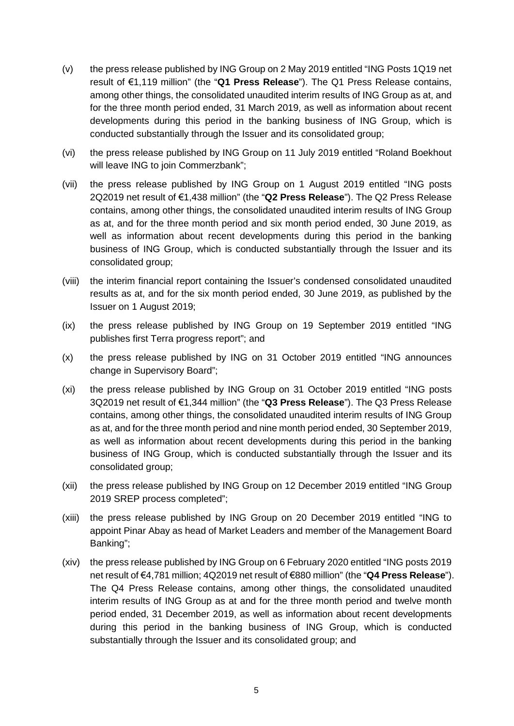- (v) the press release published by ING Group on 2 May 2019 entitled "ING Posts 1Q19 net result of €1,119 million" (the "**Q1 Press Release**"). The Q1 Press Release contains, among other things, the consolidated unaudited interim results of ING Group as at, and for the three month period ended, 31 March 2019, as well as information about recent developments during this period in the banking business of ING Group, which is conducted substantially through the Issuer and its consolidated group;
- (vi) the press release published by ING Group on 11 July 2019 entitled "Roland Boekhout will leave ING to join Commerzbank";
- (vii) the press release published by ING Group on 1 August 2019 entitled "ING posts 2Q2019 net result of €1,438 million" (the "**Q2 Press Release**"). The Q2 Press Release contains, among other things, the consolidated unaudited interim results of ING Group as at, and for the three month period and six month period ended, 30 June 2019, as well as information about recent developments during this period in the banking business of ING Group, which is conducted substantially through the Issuer and its consolidated group;
- (viii) the interim financial report containing the Issuer's condensed consolidated unaudited results as at, and for the six month period ended, 30 June 2019, as published by the Issuer on 1 August 2019;
- (ix) the press release published by ING Group on 19 September 2019 entitled "ING publishes first Terra progress report"; and
- (x) the press release published by ING on 31 October 2019 entitled "ING announces change in Supervisory Board";
- (xi) the press release published by ING Group on 31 October 2019 entitled "ING posts 3Q2019 net result of €1,344 million" (the "**Q3 Press Release**"). The Q3 Press Release contains, among other things, the consolidated unaudited interim results of ING Group as at, and for the three month period and nine month period ended, 30 September 2019, as well as information about recent developments during this period in the banking business of ING Group, which is conducted substantially through the Issuer and its consolidated group;
- (xii) the press release published by ING Group on 12 December 2019 entitled "ING Group 2019 SREP process completed";
- (xiii) the press release published by ING Group on 20 December 2019 entitled "ING to appoint Pinar Abay as head of Market Leaders and member of the Management Board Banking";
- (xiv) the press release published by ING Group on 6 February 2020 entitled "ING posts 2019 net result of €4,781 million; 4Q2019 net result of €880 million" (the "**Q4 Press Release**"). The Q4 Press Release contains, among other things, the consolidated unaudited interim results of ING Group as at and for the three month period and twelve month period ended, 31 December 2019, as well as information about recent developments during this period in the banking business of ING Group, which is conducted substantially through the Issuer and its consolidated group; and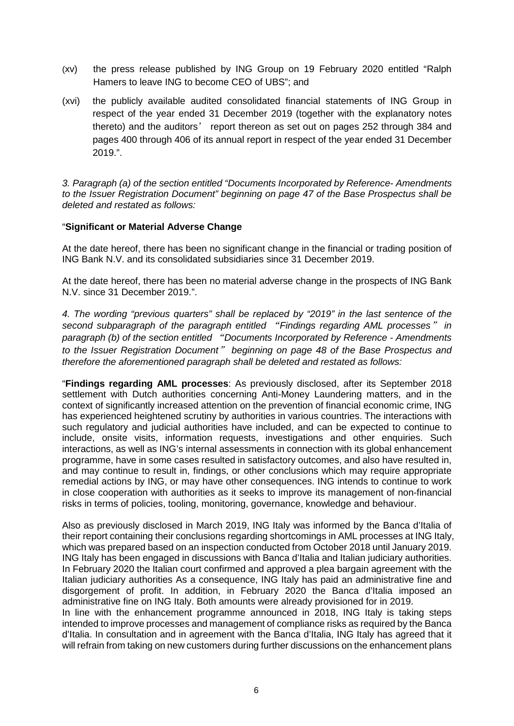- (xv) the press release published by ING Group on 19 February 2020 entitled "Ralph Hamers to leave ING to become CEO of UBS"; and
- (xvi) the publicly available audited consolidated financial statements of ING Group in respect of the year ended 31 December 2019 (together with the explanatory notes thereto) and the auditors' report thereon as set out on pages 252 through 384 and pages 400 through 406 of its annual report in respect of the year ended 31 December 2019.".

*3. Paragraph (a) of the section entitled "Documents Incorporated by Reference- Amendments to the Issuer Registration Document" beginning on page 47 of the Base Prospectus shall be deleted and restated as follows:* 

#### "**Significant or Material Adverse Change**

At the date hereof, there has been no significant change in the financial or trading position of ING Bank N.V. and its consolidated subsidiaries since 31 December 2019.

At the date hereof, there has been no material adverse change in the prospects of ING Bank N.V. since 31 December 2019.".

*4. The wording "previous quarters" shall be replaced by "2019" in the last sentence of the second subparagraph of the paragraph entitled* "*Findings regarding AML processes*" *in paragraph (b) of the section entitled* "*Documents Incorporated by Reference - Amendments to the Issuer Registration Document*" *beginning on page 48 of the Base Prospectus and therefore the aforementioned paragraph shall be deleted and restated as follows:* 

"**Findings regarding AML processes**: As previously disclosed, after its September 2018 settlement with Dutch authorities concerning Anti-Money Laundering matters, and in the context of significantly increased attention on the prevention of financial economic crime, ING has experienced heightened scrutiny by authorities in various countries. The interactions with such regulatory and judicial authorities have included, and can be expected to continue to include, onsite visits, information requests, investigations and other enquiries. Such interactions, as well as ING's internal assessments in connection with its global enhancement programme, have in some cases resulted in satisfactory outcomes, and also have resulted in, and may continue to result in, findings, or other conclusions which may require appropriate remedial actions by ING, or may have other consequences. ING intends to continue to work in close cooperation with authorities as it seeks to improve its management of non-financial risks in terms of policies, tooling, monitoring, governance, knowledge and behaviour.

Also as previously disclosed in March 2019, ING Italy was informed by the Banca d'Italia of their report containing their conclusions regarding shortcomings in AML processes at ING Italy, which was prepared based on an inspection conducted from October 2018 until January 2019. ING Italy has been engaged in discussions with Banca d'Italia and Italian judiciary authorities. In February 2020 the Italian court confirmed and approved a plea bargain agreement with the Italian judiciary authorities As a consequence, ING Italy has paid an administrative fine and disgorgement of profit. In addition, in February 2020 the Banca d'Italia imposed an administrative fine on ING Italy. Both amounts were already provisioned for in 2019.

In line with the enhancement programme announced in 2018, ING Italy is taking steps intended to improve processes and management of compliance risks as required by the Banca d'Italia. In consultation and in agreement with the Banca d'Italia, ING Italy has agreed that it will refrain from taking on new customers during further discussions on the enhancement plans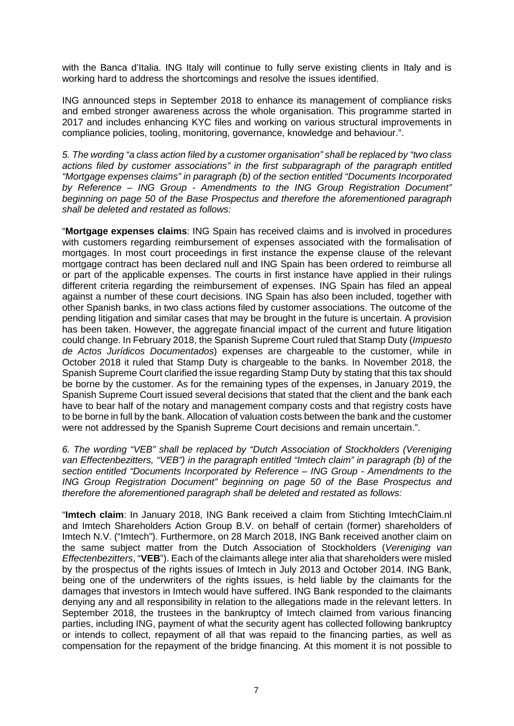with the Banca d'Italia. ING Italy will continue to fully serve existing clients in Italy and is working hard to address the shortcomings and resolve the issues identified.

ING announced steps in September 2018 to enhance its management of compliance risks and embed stronger awareness across the whole organisation. This programme started in 2017 and includes enhancing KYC files and working on various structural improvements in compliance policies, tooling, monitoring, governance, knowledge and behaviour.".

*5. The wording "a class action filed by a customer organisation" shall be replaced by "two class actions filed by customer associations" in the first subparagraph of the paragraph entitled "Mortgage expenses claims" in paragraph (b) of the section entitled "Documents Incorporated by Reference – ING Group - Amendments to the ING Group Registration Document" beginning on page 50 of the Base Prospectus and therefore the aforementioned paragraph shall be deleted and restated as follows:* 

"**Mortgage expenses claims**: ING Spain has received claims and is involved in procedures with customers regarding reimbursement of expenses associated with the formalisation of mortgages. In most court proceedings in first instance the expense clause of the relevant mortgage contract has been declared null and ING Spain has been ordered to reimburse all or part of the applicable expenses. The courts in first instance have applied in their rulings different criteria regarding the reimbursement of expenses. ING Spain has filed an appeal against a number of these court decisions. ING Spain has also been included, together with other Spanish banks, in two class actions filed by customer associations. The outcome of the pending litigation and similar cases that may be brought in the future is uncertain. A provision has been taken. However, the aggregate financial impact of the current and future litigation could change. In February 2018, the Spanish Supreme Court ruled that Stamp Duty (*Impuesto de Actos Jurídicos Documentados*) expenses are chargeable to the customer, while in October 2018 it ruled that Stamp Duty is chargeable to the banks. In November 2018, the Spanish Supreme Court clarified the issue regarding Stamp Duty by stating that this tax should be borne by the customer. As for the remaining types of the expenses, in January 2019, the Spanish Supreme Court issued several decisions that stated that the client and the bank each have to bear half of the notary and management company costs and that registry costs have to be borne in full by the bank. Allocation of valuation costs between the bank and the customer were not addressed by the Spanish Supreme Court decisions and remain uncertain.".

*6. The wording "VEB" shall be replaced by "Dutch Association of Stockholders (Vereniging van Effectenbezitters, "VEB") in the paragraph entitled "Imtech claim" in paragraph (b) of the section entitled "Documents Incorporated by Reference – ING Group - Amendments to the ING Group Registration Document" beginning on page 50 of the Base Prospectus and therefore the aforementioned paragraph shall be deleted and restated as follows:* 

"**Imtech claim**: In January 2018, ING Bank received a claim from Stichting ImtechClaim.nl and Imtech Shareholders Action Group B.V. on behalf of certain (former) shareholders of Imtech N.V. ("Imtech"). Furthermore, on 28 March 2018, ING Bank received another claim on the same subject matter from the Dutch Association of Stockholders (*Vereniging van Effectenbezitters*, "**VEB**"). Each of the claimants allege inter alia that shareholders were misled by the prospectus of the rights issues of Imtech in July 2013 and October 2014. ING Bank, being one of the underwriters of the rights issues, is held liable by the claimants for the damages that investors in Imtech would have suffered. ING Bank responded to the claimants denying any and all responsibility in relation to the allegations made in the relevant letters. In September 2018, the trustees in the bankruptcy of Imtech claimed from various financing parties, including ING, payment of what the security agent has collected following bankruptcy or intends to collect, repayment of all that was repaid to the financing parties, as well as compensation for the repayment of the bridge financing. At this moment it is not possible to